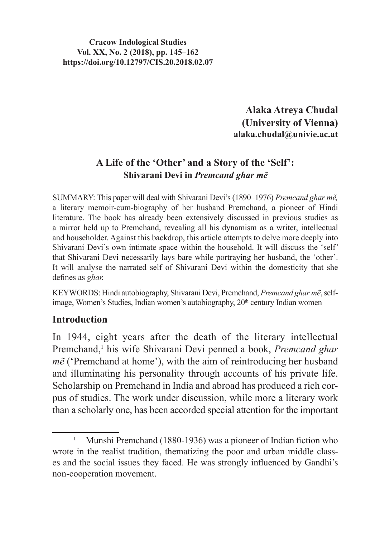#### **Cracow Indological Studies Vol. XX, No. 2 (2018), pp. 145–162 https://doi.org/10.12797/CIS.20.2018.02.07**

**Alaka Atreya Chudal (University of Vienna) alaka.chudal@univie.ac.at**

# **A Life of the 'Other' and a Story of the 'Self': Shivarani Devi in** *Premcand ghar me*͂

SUMMARY: This paper will deal with Shivarani Devi's (1890–1976) *Premcand ghar mẽ,* a literary memoir-cum-biography of her husband Premchand, a pioneer of Hindi literature. The book has already been extensively discussed in previous studies as a mirror held up to Premchand, revealing all his dynamism as a writer, intellectual and householder. Against this backdrop, this article attempts to delve more deeply into Shivarani Devi's own intimate space within the household. It will discuss the 'self' that Shivarani Devi necessarily lays bare while portraying her husband, the 'other'. It will analyse the narrated self of Shivarani Devi within the domesticity that she defines as *ghar.*

KEYWORDS: Hindi autobiography, Shivarani Devi, Premchand, *Premcand ghar mẽ*,selfimage, Women's Studies, Indian women's autobiography, 20<sup>th</sup> century Indian women

### **Introduction**

In 1944, eight years after the death of the literary intellectual Premchand,<sup>1</sup> his wife Shivarani Devi penned a book, *Premcand ghar mẽ* ('Premchand at home'), with the aim of reintroducing her husband and illuminating his personality through accounts of his private life. Scholarship on Premchand in India and abroad has produced a rich corpus of studies. The work under discussion, while more a literary work than a scholarly one, has been accorded special attention for the important

<sup>1</sup> Munshi Premchand (1880-1936) was a pioneer of Indian fiction who wrote in the realist tradition, thematizing the poor and urban middle classes and the social issues they faced. He was strongly influenced by Gandhi's non-cooperation movement.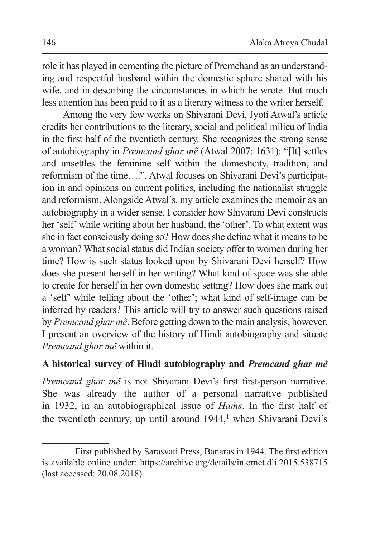role it has played in cementing the picture of Premchand as an understanding and respectful husband within the domestic sphere shared with his wife, and in describing the circumstances in which he wrote. But much less attention has been paid to it as a literary witness to the writer herself.

Among the very few works on Shivarani Devi, Jyoti Atwal's article credits her contributions to the literary, social and political milieu of India in the first half of the twentieth century. She recognizes the strong sense of autobiography in *Premcand ghar mẽ* (Atwal 2007: 1631): "[It] settles and unsettles the feminine self within the domesticity, tradition, and reformism of the time….". Atwal focuses on Shivarani Devi's participation in and opinions on current politics, including the nationalist struggle and reformism. Alongside Atwal's, my article examines the memoir as an autobiography in a wider sense. I consider how Shivarani Devi constructs her 'self'while writing about her husband, the 'other'. To what extent was she in fact consciously doing so? How doesshe define what it meansto be a woman? What social status did Indian society offer to women during her time? How is such status looked upon by Shivarani Devi herself? How does she present herself in her writing? What kind of space was she able to create for herself in her own domestic setting? How does she mark out a 'self' while telling about the 'other'; what kind of self-image can be inferred by readers? This article will try to answer such questions raised by *Premcand ghar mẽ*. Before getting down to the main analysis, however, I present an overview of the history of Hindi autobiography and situate *Premcand ghar mẽ* within it.

# **A historical survey of Hindi autobiography and** *Premcand ghar mẽ*

*Premcand ghar mẽ* is not Shivarani Devi's first first-person narrative. She was already the author of a personal narrative published in 1932, in an autobiographical issue of *Haṁs*. In the first half of the twentieth century, up until around  $1944$ ,<sup>1</sup> when Shivarani Devi's

<sup>1</sup> First published by Sarasvati Press, Banaras in 1944. The first edition is available online under: https://archive.org/details/in.ernet.dli.2015.538715 (last accessed: 20.08.2018).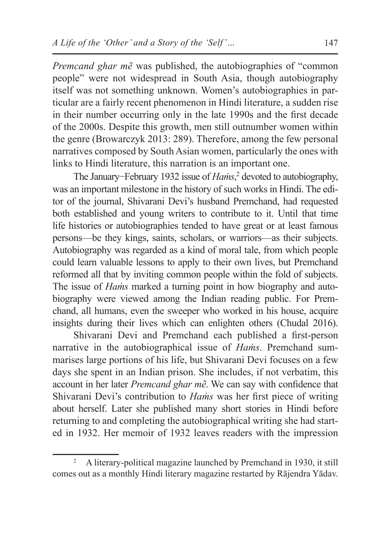*Premcand ghar mẽ* was published, the autobiographies of "common" people" were not widespread in South Asia, though autobiography itself was not something unknown. Women's autobiographies in particular are a fairly recent phenomenon in Hindi literature, a sudden rise in their number occurring only in the late 1990s and the first decade of the 2000s. Despite this growth, men still outnumber women within the genre (Browarczyk 2013: 289). Therefore, among the few personal narratives composed by South Asian women, particularly the ones with links to Hindi literature, this narration is an important one.

The January−February 1932 issue of *Haṁs*, <sup>2</sup> devoted to autobiography, was an important milestone in the history of such works in Hindi. The editor of the journal, Shivarani Devi's husband Premchand, had requested both established and young writers to contribute to it. Until that time life histories or autobiographies tended to have great or at least famous persons—be they kings, saints, scholars, or warriors—as their subjects. Autobiography was regarded as a kind of moral tale, from which people could learn valuable lessons to apply to their own lives, but Premchand reformed all that by inviting common people within the fold of subjects. The issue of *Haṁs* marked a turning point in how biography and autobiography were viewed among the Indian reading public. For Premchand, all humans, even the sweeper who worked in his house, acquire insights during their lives which can enlighten others (Chudal 2016).

Shivarani Devi and Premchand each published a first-person narrative in the autobiographical issue of *Haṁs*. Premchand summarises large portions of his life, but Shivarani Devi focuses on a few days she spent in an Indian prison. She includes, if not verbatim, this account in her later *Premcand ghar mẽ*. We can say with confidence that Shivarani Devi's contribution to *Haṁs* was her first piece of writing about herself. Later she published many short stories in Hindi before returning to and completing the autobiographical writing she had started in 1932. Her memoir of 1932 leaves readers with the impression

<sup>&</sup>lt;sup>2</sup> A literary-political magazine launched by Premchand in 1930, it still comes out as a monthly Hindi literary magazine restarted by Rājendra Yādav.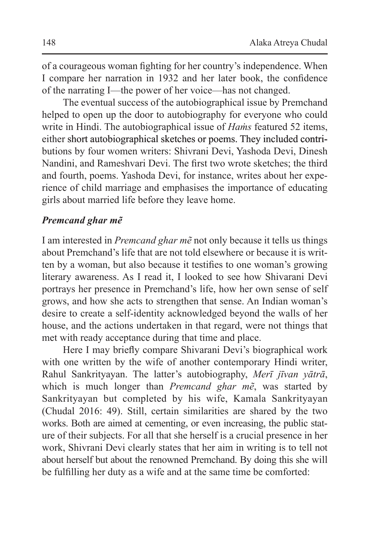of a courageous woman fighting for her country's independence. When I compare her narration in 1932 and her later book, the confidence of the narrating I—the power of her voice—has not changed.

The eventual success of the autobiographical issue by Premchand helped to open up the door to autobiography for everyone who could write in Hindi. The autobiographical issue of *Haṁs* featured 52 items, either short autobiographical sketches or poems. They included contributions by four women writers: Shivrani Devi, Yashoda Devi, Dinesh Nandini, and Rameshvari Devi. The first two wrote sketches; the third and fourth, poems. Yashoda Devi, for instance, writes about her experience of child marriage and emphasises the importance of educating girls about married life before they leave home.

### *Premcand ghar mẽ*

I am interested in *Premcand ghar mẽ* not only because it tells us things about Premchand's life that are not told elsewhere or because it is written by a woman, but also because it testifies to one woman's growing literary awareness. As I read it, I looked to see how Shivarani Devi portrays her presence in Premchand's life, how her own sense of self grows, and how she acts to strengthen that sense. An Indian woman's desire to create a self-identity acknowledged beyond the walls of her house, and the actions undertaken in that regard, were not things that met with ready acceptance during that time and place.

Here I may briefly compare Shivarani Devi's biographical work with one written by the wife of another contemporary Hindi writer, Rahul Sankrityayan. The latter's autobiography, *Merī jīvan yātrā*, which is much longer than *Premcand ghar mẽ*, was started by Sankrityayan but completed by his wife, Kamala Sankrityayan (Chudal 2016: 49). Still, certain similarities are shared by the two works. Both are aimed at cementing, or even increasing, the public stature of their subjects. For all that she herself is a crucial presence in her work, Shivrani Devi clearly states that her aim in writing is to tell not about herself but about the renowned Premchand. By doing this she will be fulfilling her duty as a wife and at the same time be comforted: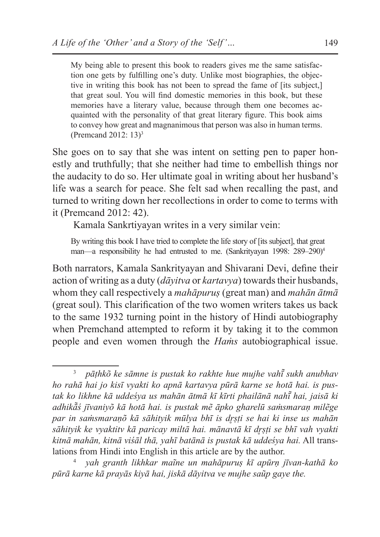My being able to present this book to readers gives me the same satisfaction one gets by fulfilling one's duty. Unlike most biographies, the objective in writing this book has not been to spread the fame of *[its subject.]* that great soul. You will find domestic memories in this book, but these memories have a literary value, because through them one becomes acquainted with the personality of that great literary figure. This book aims to convey how great and magnanimous that person was also in human terms. (Premcand 2012: 13)<sup>3</sup>

She goes on to say that she was intent on setting pen to paper honestly and truthfully; that she neither had time to embellish things nor the audacity to do so. Her ultimate goal in writing about her husband's life was a search for peace. She felt sad when recalling the past, and turned to writing down her recollections in order to come to terms with it (Premcand 2012: 42).

Kamala Sankrtiyayan writes in a very similar vein:

By writing this book I have tried to complete the life story of [its subject], that great man—a responsibility he had entrusted to me. (Sankrityayan 1998: 289–290)<sup>4</sup>

Both narrators, Kamala Sankrityayan and Shivarani Devi, define their action of writing as a duty *(dāyitya or kartayya)* towards their husbands, whom they call respectively a *mahāpuruṣ* (great man) and *mahān ātmā*  (great soul). This clarification of the two women writers takes us back to the same 1932 turning point in the history of Hindi autobiography when Premchand attempted to reform it by taking it to the common people and even women through the *Haṁs* autobiographical issue.

<sup>3</sup> *pāṭhkõ ke sāmne is pustak ko rakhte hue mujhe vahī sukh anubhav ̃ ho rahā hai jo kisī vyakti ko apnā kartavya pūrā karne se hotā hai. is pustak ko likhne kā uddeśya us mahān ātmā kī kīrti phailānā nahī͂ hai, jaisā ki adhikā̃ś jīvaniyõ kā hotā hai. is pustak mẽ āpko gharelū saṁsmaraṇ milẽge par in saṁsmaraṇõ kā sāhityik mūlya bhī is dr̥ṣṭi se hai ki inse us mahān sāhityik ke vyaktitv kā paricay miltā hai. mānavtā kī dr̥ṣṭi se bhī vah vyakti kitnā mahān, kitnā viśāl thā, yahī batānā is pustak kā uddeśya hai.* All translations from Hindi into English in this article are by the author.

<sup>4</sup> *yah granth likhkar maĩne un mahāpuruṣ kī apūrṇ jīvan-kathā ko pūrā karne kā prayās kiyā hai, jiskā dāyitva ve mujhe saũp gaye the.*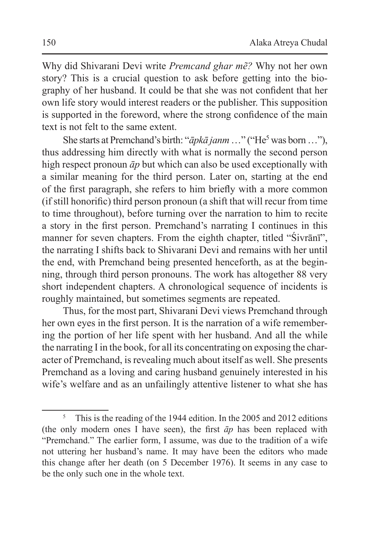Why did Shivarani Devi write *Premcand ghar mẽ?* Why not her own story? This is a crucial question to ask before getting into the biography of her husband. It could be that she was not confident that her own life story would interest readers or the publisher. This supposition is supported in the foreword, where the strong confidence of the main text is not felt to the same extent.

She starts at Premchand's birth: "*āpkā janm*…" ("He<sup>5</sup> was born…"), thus addressing him directly with what is normally the second person high respect pronoun *āp* but which can also be used exceptionally with a similar meaning for the third person. Later on, starting at the end of the first paragraph, she refers to him briefly with a more common (if still honorific) third person pronoun (a shift that will recur from time to time throughout), before turning over the narration to him to recite a story in the first person. Premchand's narrating I continues in this manner for seven chapters. From the eighth chapter, titled "Śivrānī", the narrating I shifts back to Shivarani Devi and remains with her until the end, with Premchand being presented henceforth, as at the beginning, through third person pronouns. The work has altogether 88 very short independent chapters. A chronological sequence of incidents is roughly maintained, but sometimes segments are repeated.

Thus, for the most part, Shivarani Devi views Premchand through her own eyes in the first person. It is the narration of a wife remembering the portion of her life spent with her husband. And all the while the narrating I in the book, for all its concentrating on exposing the character of Premchand, is revealing much about itself as well. She presents Premchand as a loving and caring husband genuinely interested in his wife's welfare and as an unfailingly attentive listener to what she has

<sup>&</sup>lt;sup>5</sup> This is the reading of the 1944 edition. In the 2005 and 2012 editions (the only modern ones I have seen), the first *āp* has been replaced with "Premchand." The earlier form, I assume, was due to the tradition of a wife not uttering her husband's name. It may have been the editors who made this change after her death (on 5 December 1976). It seems in any case to be the only such one in the whole text.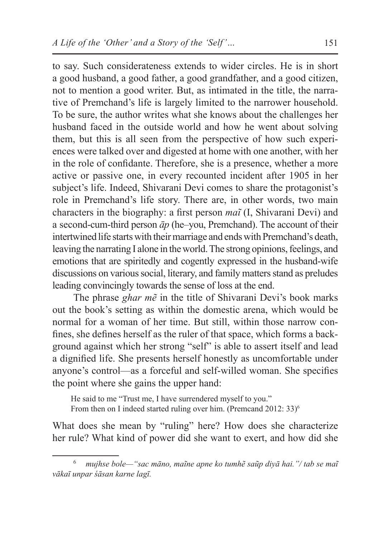to say. Such considerateness extends to wider circles. He is in short a good husband, a good father, a good grandfather, and a good citizen, not to mention a good writer. But, as intimated in the title, the narrative of Premchand's life is largely limited to the narrower household. To be sure, the author writes what she knows about the challenges her husband faced in the outside world and how he went about solving them, but this is all seen from the perspective of how such experiences were talked over and digested at home with one another, with her in the role of confidante. Therefore, she is a presence, whether a more active or passive one, in every recounted incident after 1905 in her subject's life. Indeed, Shivarani Devi comes to share the protagonist's role in Premchand's life story. There are, in other words, two main characters in the biography: a first person *maĩ* (I, Shivarani Devi) and a second-cum-third person *āp* (he–you, Premchand). The account of their intertwined life starts with their marriage and ends with Premchand's death, leaving the narrating I alone in the world. The strong opinions, feelings, and emotions that are spiritedly and cogently expressed in the husband-wife discussions on various social, literary, and family matters stand as preludes leading convincingly towards the sense of loss at the end.

The phrase *ghar mẽ* in the title of Shivarani Devi's book marks out the book's setting as within the domestic arena, which would be normal for a woman of her time. But still, within those narrow confines, she defines herself as the ruler of that space, which forms a background against which her strong "self" is able to assert itself and lead a dignified life. She presents herself honestly as uncomfortable under anyone's control—as a forceful and self-willed woman. She specifies the point where she gains the upper hand:

He said to me "Trust me, I have surrendered myself to you." From then on I indeed started ruling over him. (Premcand 2012: 33)<sup>6</sup>

What does she mean by "ruling" here? How does she characterize her rule? What kind of power did she want to exert, and how did she

<sup>6</sup> *mujhse bole—"sac māno, maĩne apne ko tumhẽ saũp diyā hai."/ tab se maĩ vākaī unpar śāsan karne lagī.*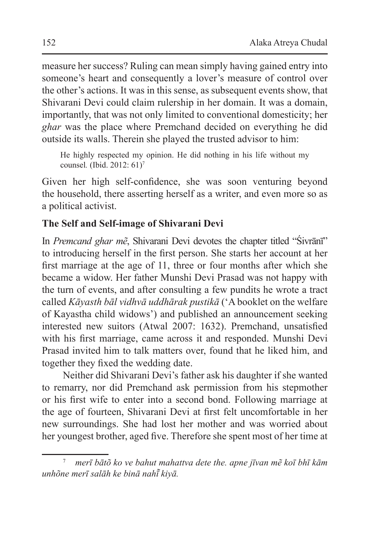measure her success? Ruling can mean simply having gained entry into someone's heart and consequently a lover's measure of control over the other's actions. It was in this sense, as subsequent events show, that Shivarani Devi could claim rulership in her domain. It was a domain, importantly, that was not only limited to conventional domesticity; her *ghar* was the place where Premchand decided on everything he did outside its walls. Therein she played the trusted advisor to him:

He highly respected my opinion. He did nothing in his life without my counsel*.* (Ibid. 2012: 61)<sup>7</sup>

Given her high self-confidence, she was soon venturing beyond the household, there asserting herself as a writer, and even more so as a political activist.

# **The Self and Self-image of Shivarani Devi**

In *Premcand ghar mẽ*, Shivarani Devi devotes the chapter titled "Śivrānī" to introducing herself in the first person. She starts her account at her first marriage at the age of 11, three or four months after which she became a widow. Her father Munshi Devi Prasad was not happy with the turn of events, and after consulting a few pundits he wrote a tract called *Kāyasth bāl vidhvā uddhārak pustikā* ('A booklet on the welfare of Kayastha child widows') and published an announcement seeking interested new suitors (Atwal 2007: 1632). Premchand, unsatisfied with his first marriage, came across it and responded. Munshi Devi Prasad invited him to talk matters over, found that he liked him, and together they fixed the wedding date.

Neither did Shivarani Devi's father ask his daughter if she wanted to remarry, nor did Premchand ask permission from his stepmother or his first wife to enter into a second bond. Following marriage at the age of fourteen, Shivarani Devi at first felt uncomfortable in her new surroundings. She had lost her mother and was worried about her youngest brother, aged five. Therefore she spent most of her time at

<sup>7</sup> *merī bātõ ko ve bahut mahattva dete the. apne jīvan mẽ koī bhī kām unhõne merī salāh ke binā nahī kiyā. ̃*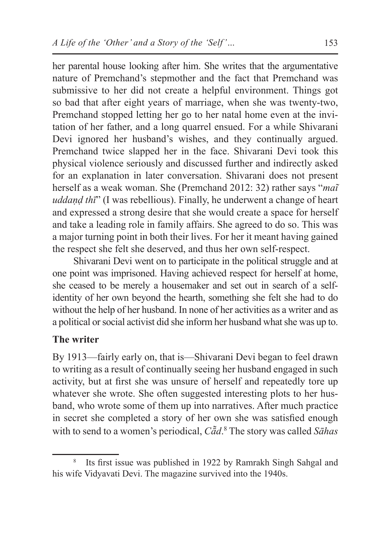her parental house looking after him. She writes that the argumentative nature of Premchand's stepmother and the fact that Premchand was submissive to her did not create a helpful environment. Things got so bad that after eight years of marriage, when she was twenty-two, Premchand stopped letting her go to her natal home even at the invitation of her father, and a long quarrel ensued. For a while Shivarani Devi ignored her husband's wishes, and they continually argued. Premchand twice slapped her in the face. Shivarani Devi took this physical violence seriously and discussed further and indirectly asked for an explanation in later conversation. Shivarani does not present herself as a weak woman. She (Premchand 2012: 32) rather says "*maĩ uddaṇḍ thī*" (I was rebellious). Finally, he underwent a change of heart and expressed a strong desire that she would create a space for herself and take a leading role in family affairs. She agreed to do so. This was a major turning point in both their lives. For her it meant having gained the respect she felt she deserved, and thus her own self-respect.

Shivarani Devi went on to participate in the political struggle and at one point was imprisoned. Having achieved respect for herself at home, she ceased to be merely a housemaker and set out in search of a selfidentity of her own beyond the hearth, something she felt she had to do without the help of her husband. In none of her activities as a writer and as a political orsocial activist did she inform her husband what she was up to.

### **The writer**

By 1913—fairly early on, that is—Shivarani Devi began to feel drawn to writing as a result of continually seeing her husband engaged in such activity, but at first she was unsure of herself and repeatedly tore up whatever she wrote. She often suggested interesting plots to her husband, who wrote some of them up into narratives. After much practice in secret she completed a story of her own she was satisfied enough with to send to a women's periodical, *Cā̃d*. 8 The story was called *Sāhas* 

<sup>&</sup>lt;sup>8</sup> Its first issue was published in 1922 by Ramrakh Singh Sahgal and his wife Vidyavati Devi. The magazine survived into the 1940s.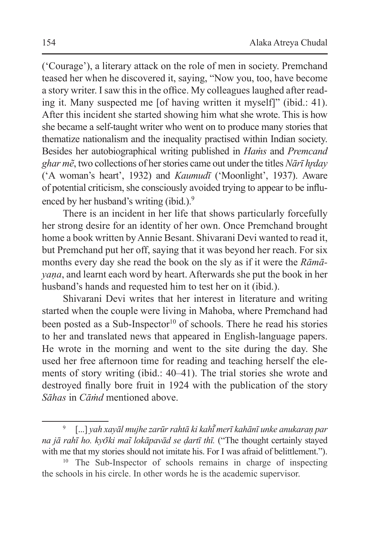('Courage'), a literary attack on the role of men in society. Premchand teased her when he discovered it, saying, "Now you, too, have become a story writer. I saw this in the office. My colleagues laughed after reading it. Many suspected me [of having written it myself]" (ibid.: 41). After this incident she started showing him what she wrote. This is how she became a self-taught writer who went on to produce many stories that thematize nationalism and the inequality practised within Indian society. Besides her autobiographical writing published in *Haṁs* and *Premcand ghar mẽ*, two collections of her stories came out under the titles *Nārī hr̥day* ('A woman's heart', 1932) and *Kaumudī* ('Moonlight', 1937). Aware of potential criticism, she consciously avoided trying to appear to be influenced by her husband's writing (ibid.).<sup>9</sup>

There is an incident in her life that shows particularly forcefully her strong desire for an identity of her own. Once Premchand brought home a book written byAnnie Besant. Shivarani Devi wanted to read it, but Premchand put her off, saying that it was beyond her reach. For six months every day she read the book on the sly as if it were the *Rāmāyaṇa*, and learnt each word by heart. Afterwards she put the book in her husband's hands and requested him to test her on it (ibid.).

Shivarani Devi writes that her interest in literature and writing started when the couple were living in Mahoba, where Premchand had been posted as a Sub-Inspector<sup>10</sup> of schools. There he read his stories to her and translated news that appeared in English-language papers. He wrote in the morning and went to the site during the day. She used her free afternoon time for reading and teaching herself the elements of story writing (ibid.: 40–41). The trial stories she wrote and destroyed finally bore fruit in 1924 with the publication of the story *Sāhas* in *Cāṁd* mentioned above.

<sup>9</sup> [...] *yah xayāl mujhe zarūr rahtā ki kahī merī kahānī unke anukaraṇ par ̃ na jā rahī ho. kyo͂ ki maĩ lokāpavād se ḍartī thī.* ("The thought certainly stayed with me that my stories should not imitate his. For I was afraid of belittlement.").

<sup>&</sup>lt;sup>10</sup> The Sub-Inspector of schools remains in charge of inspecting the schools in his circle. In other words he is the academic supervisor.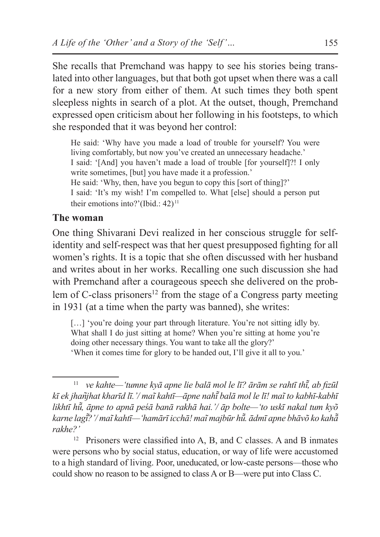She recalls that Premchand was happy to see his stories being translated into other languages, but that both got upset when there was a call for a new story from either of them. At such times they both spent sleepless nights in search of a plot. At the outset, though, Premchand expressed open criticism about her following in his footsteps, to which she responded that it was beyond her control:

He said: 'Why have you made a load of trouble for yourself? You were living comfortably, but now you've created an unnecessary headache.' I said: '[And] you haven't made a load of trouble [for yourself]?! I only write sometimes, [but] you have made it a profession.' He said: 'Why, then, have you begun to copy this [sort of thing]?' I said: 'It's my wish! I'm compelled to. What [else] should a person put their emotions into?'(Ibid.: 42)<sup>11</sup>

#### **The woman**

One thing Shivarani Devi realized in her conscious struggle for selfidentity and self-respect was that her quest presupposed fighting for all women's rights. It is a topic that she often discussed with her husband and writes about in her works. Recalling one such discussion she had with Premchand after a courageous speech she delivered on the problem of C-class prisoners<sup>12</sup> from the stage of a Congress party meeting in 1931 (at a time when the party was banned), she writes:

[...] 'you're doing your part through literature. You're not sitting idly by. What shall I do just sitting at home? When you're sitting at home you're doing other necessary things. You want to take all the glory?' 'When it comes time for glory to be handed out, I'll give it all to you.'

<sup>&</sup>lt;sup>11</sup> *ve kahte—'tumne kyā apne lie balā mol le lī? ārām se rahtī thī, ab fizūl kī ek jhan͂jhat kharīd lī.'/ maĩ kahtī—āpne nahī balā mol le lī! maĩ to ̃ kabhī-kabhī likhtī hū, āpne to ̃ apnā peśā banā rakhā hai.'/ āp bolte—'to uskī nakal tum kyõ karne lagī?'/ ̃ maĩ kahtī—'hamārī icchā! maĩ majbūr hū. ādmī apne bhāvõ ko kahā ̃ ̃ rakhe?'*

 $12$  Prisoners were classified into A, B, and C classes. A and B inmates were persons who by social status, education, or way of life were accustomed to a high standard of living. Poor, uneducated, or low-caste persons—those who could show no reason to be assigned to class A or B—were put into Class C.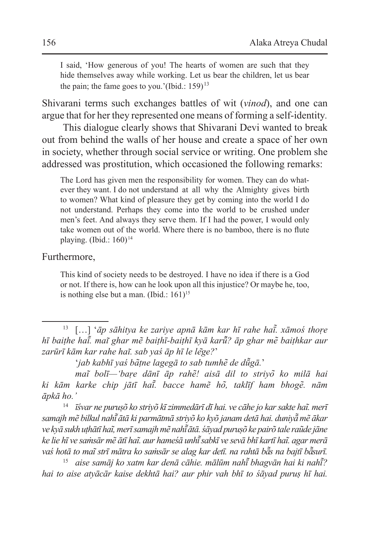I said, 'How generous of you! The hearts of women are such that they hide themselves away while working. Let us bear the children, let us bear the pain; the fame goes to you.'(Ibid.:  $159$ )<sup>13</sup>

Shivarani terms such exchanges battles of wit (*vinod*), and one can argue that for her they represented one means of forming a self-identity*.*

This dialogue clearly shows that Shivarani Devi wanted to break out from behind the walls of her house and create a space of her own in society, whether through social service or writing. One problem she addressed was prostitution, which occasioned the following remarks:

The Lord has given men the responsibility for women. They can do whatever they want. I do not understand at all why the Almighty gives birth to women? What kind of pleasure they get by coming into the world I do not understand. Perhaps they come into the world to be crushed under men's feet. And always they serve them. If I had the power, I would only take women out of the world. Where there is no bamboo, there is no flute playing. (Ibid.:  $160$ )<sup>14</sup>

#### Furthermore,

This kind of society needs to be destroyed. I have no idea if there is a God or not. If there is, how can he look upon all this injustice? Or maybe he, too, is nothing else but a man. (Ibid.:  $161$ )<sup>15</sup>

<sup>14</sup> *īśvar ne puruṣõ ko striyõ kī zimmedārī dī hai. ve cāhe jo kar sakte haĩ. merī samajh mẽ bilkul nahī ātā ki parmātmā striyõ ko kyõ janam detā hai. duniyā ̃ ͂ mẽ ākar ve kyā sukh uṭhātī haĩ, merī samajh mẽ nahī ātā. ̃ śāyad puruṣõ ke pairõ tale raũde jāne ke lie hī ve saṁsār mẽ ātī haĩ. aur hameśā unhī sabkī ve sevā bhī kartī haĩ. agar merā ̃ vaś hotā to maĩ strī mātra ko saṁsār se alag kar detī. na rahtā bā͂s na bajtī bāsurī. ̃*

<sup>15</sup> *aise samāj ko xatm kar denā cāhie. mālūm nahī͂ bhagvān hai ki nahī͂ ? hai to aise atyācār kaise dekhtā hai? aur phir vah bhī to śāyad puruṣ hī hai.*

<sup>13</sup> […] '*āp sāhitya ke zariye apnā kām kar hī rahe haī͂. xāmoś thoṛe hī baiṭhe haī͂. mai͂ ghar mẽ baiṭhī-baiṭhī kyā karū͂? āp ghar me͂ baiṭhkar aur zarūrī kām kar rahe hai͂. sab yaś āp hī le le*͂*ge?*'

<sup>&#</sup>x27;*jab kabhī yaś ba͂ṭne lagegā to sab tumhe͂ de dū͂gā.*'

*mai͂ bolī—'baṛe dānī āp rahe͂! aisā dil to striyo͂ ko milā hai ki kām karke chip jātī haī͂. bacce hamẽ ho͂, taklīf ham bhoge͂. nām āpkā ho.'*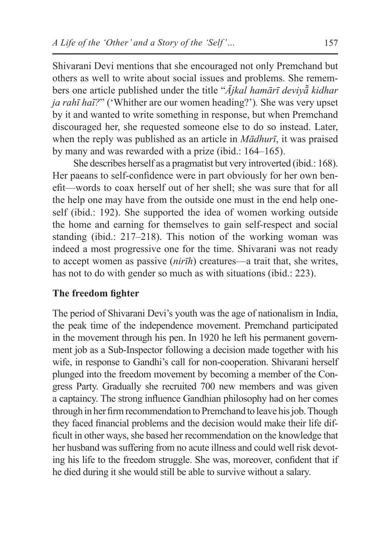Shivarani Devi mentions that she encouraged not only Premchand but others as well to write about social issues and problems. She remembers one article published under the title "*Ājkal hamārī deviyā̃ kidhar ja rahī haĩ?*" ('Whither are our women heading?')*.* She was very upset by it and wanted to write something in response, but when Premchand discouraged her, she requested someone else to do so instead. Later, when the reply was published as an article in *Mādhurī*, it was praised by many and was rewarded with a prize (ibid.: 164–165).

She describes herself as a pragmatist but very introverted (ibid.: 168). Her paeans to self-confidence were in part obviously for her own benefit—words to coax herself out of her shell; she was sure that for all the help one may have from the outside one must in the end help oneself (ibid.: 192). She supported the idea of women working outside the home and earning for themselves to gain self-respect and social standing (ibid.: 217–218). This notion of the working woman was indeed a most progressive one for the time. Shivarani was not ready to accept women as passive (*nirīh*) creatures—a trait that, she writes, has not to do with gender so much as with situations (ibid.: 223).

### **The freedom fighter**

The period of Shivarani Devi's youth was the age of nationalism in India, the peak time of the independence movement. Premchand participated in the movement through his pen. In 1920 he left his permanent government job as a Sub-Inspector following a decision made together with his wife, in response to Gandhi's call for non-cooperation. Shivarani herself plunged into the freedom movement by becoming a member of the Congress Party. Gradually she recruited 700 new members and was given a captaincy. The strong influence Gandhian philosophy had on her comes through in her firm recommendation to Premchand to leave his job. Though they faced financial problems and the decision would make their life difficult in other ways, she based her recommendation on the knowledge that her husband was suffering from no acute illness and could well risk devoting his life to the freedom struggle. She was, moreover, confident that if he died during it she would still be able to survive without a salary.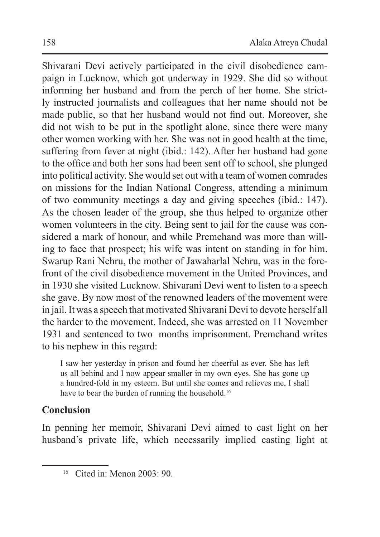Shivarani Devi actively participated in the civil disobedience campaign in Lucknow, which got underway in 1929. She did so without informing her husband and from the perch of her home. She strictly instructed journalists and colleagues that her name should not be made public, so that her husband would not find out. Moreover, she did not wish to be put in the spotlight alone, since there were many other women working with her. She was not in good health at the time, suffering from fever at night (ibid.: 142). After her husband had gone to the office and both her sons had been sent off to school, she plunged into political activity. She would set out with a team of women comrades on missions for the Indian National Congress, attending a minimum of two community meetings a day and giving speeches (ibid.: 147). As the chosen leader of the group, she thus helped to organize other women volunteers in the city. Being sent to jail for the cause was considered a mark of honour, and while Premchand was more than willing to face that prospect; his wife was intent on standing in for him. Swarup Rani Nehru, the mother of Jawaharlal Nehru, was in the forefront of the civil disobedience movement in the United Provinces, and in 1930 she visited Lucknow. Shivarani Devi went to listen to a speech she gave. By now most of the renowned leaders of the movement were in jail. It was a speech that motivated Shivarani Devi to devote herself all the harder to the movement. Indeed, she was arrested on 11 November 1931 and sentenced to two months imprisonment. Premchand writes to his nephew in this regard:

I saw her yesterday in prison and found her cheerful as ever. She has left us all behind and I now appear smaller in my own eyes. She has gone up a hundred-fold in my esteem. But until she comes and relieves me, I shall have to bear the burden of running the household.<sup>16</sup>

# **Conclusion**

In penning her memoir, Shivarani Devi aimed to cast light on her husband's private life, which necessarily implied casting light at

 $16$  Cited in: Menon  $2003 \cdot 90$ .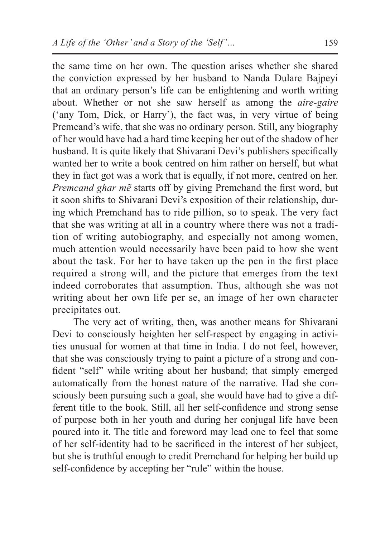the same time on her own. The question arises whether she shared the conviction expressed by her husband to Nanda Dulare Bajpeyi that an ordinary person's life can be enlightening and worth writing about. Whether or not she saw herself as among the *aire-gaire*  ('any Tom, Dick, or Harry'), the fact was, in very virtue of being Premcand's wife, that she was no ordinary person. Still, any biography of her would have had a hard time keeping her out of the shadow of her husband. It is quite likely that Shivarani Devi's publishers specifically wanted her to write a book centred on him rather on herself, but what they in fact got was a work that is equally, if not more, centred on her. *Premcand ghar mẽ* starts off by giving Premchand the first word, but it soon shifts to Shivarani Devi's exposition of their relationship, during which Premchand has to ride pillion, so to speak. The very fact that she was writing at all in a country where there was not a tradition of writing autobiography, and especially not among women, much attention would necessarily have been paid to how she went about the task. For her to have taken up the pen in the first place required a strong will, and the picture that emerges from the text indeed corroborates that assumption. Thus, although she was not writing about her own life per se, an image of her own character precipitates out.

The very act of writing, then, was another means for Shivarani Devi to consciously heighten her self-respect by engaging in activities unusual for women at that time in India. I do not feel, however, that she was consciously trying to paint a picture of a strong and confident "self" while writing about her husband; that simply emerged automatically from the honest nature of the narrative. Had she consciously been pursuing such a goal, she would have had to give a different title to the book. Still, all her self-confidence and strong sense of purpose both in her youth and during her conjugal life have been poured into it. The title and foreword may lead one to feel that some of her self-identity had to be sacrificed in the interest of her subject, but she is truthful enough to credit Premchand for helping her build up self-confidence by accepting her "rule" within the house.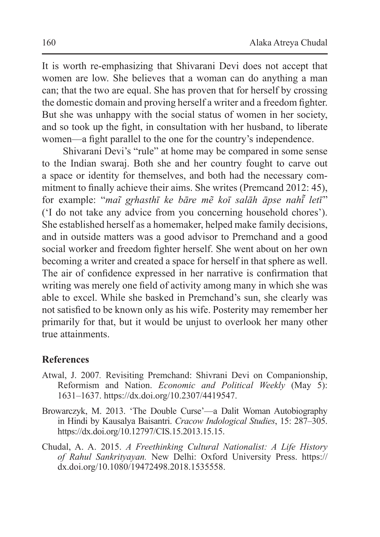It is worth re-emphasizing that Shivarani Devi does not accept that women are low. She believes that a woman can do anything a man can; that the two are equal. She has proven that for herself by crossing the domestic domain and proving herself a writer and a freedom fighter. But she was unhappy with the social status of women in her society, and so took up the fight, in consultation with her husband, to liberate women—a fight parallel to the one for the country's independence.

Shivarani Devi's "rule" at home may be compared in some sense to the Indian swaraj. Both she and her country fought to carve out a space or identity for themselves, and both had the necessary commitment to finally achieve their aims. She writes (Premcand 2012: 45), for example: "*maĩ grhasthī ke bāre mẽ koī salāh āpse nahī̃ letī*" ('I do not take any advice from you concerning household chores'). She established herself as a homemaker, helped make family decisions, and in outside matters was a good advisor to Premchand and a good social worker and freedom fighter herself. She went about on her own becoming a writer and created a space for herself in that sphere as well. The air of confidence expressed in her narrative is confirmation that writing was merely one field of activity among many in which she was able to excel. While she basked in Premchand's sun, she clearly was not satisfied to be known only as his wife. Posterity may remember her primarily for that, but it would be unjust to overlook her many other true attainments.

#### **References**

- Atwal, J. 2007*.* Revisiting Premchand: Shivrani Devi on Companionship, Reformism and Nation. *Economic and Political Weekly* (May 5): 1631–1637. https://dx.doi.org/10.2307/4419547.
- Browarczyk, M. 2013. 'The Double Curse'—a Dalit Woman Autobiography in Hindi by Kausalya Baisantri. *Cracow Indological Studies*, 15: 287–305. https://dx.doi.org/10.12797/CIS.15.2013.15.15.
- Chudal, A. A. 2015. *A Freethinking Cultural Nationalist: A Life History of Rahul Sankrityayan.* New Delhi: Oxford University Press. https:// dx.doi.org/10.1080/19472498.2018.1535558.